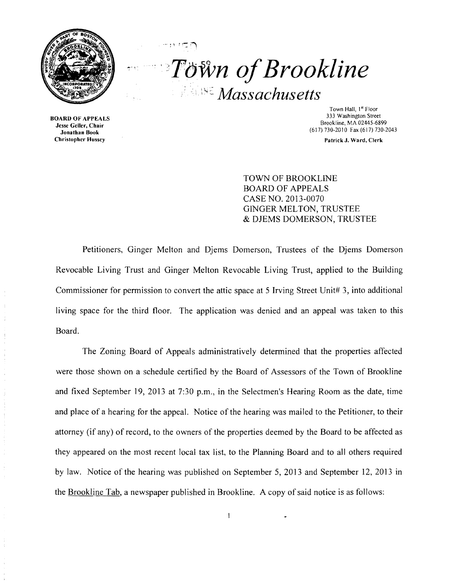

....... , '.

.. '''Fawn *ofBrookline Massachusetts* 

BOARD OF APPEALS Jesse Geller, Chair Jonathan Book Christopher Hussey

Town Hall, 1st Floor 333 Washington Street Brookline, MA 02445-6899 (617) 730-2010 Fax (617) 730-2043

Patrick J. Ward, Clerk

TOWN OF BROOKLINE BOARD OF APPEALS CASE NO. 2013~0070 GINGER MELTON, TRUSTEE & DJEMS DOMERSON, TRUSTEE

Petitioners, Ginger Melton and Djems Domerson, Trustees of the Djems Domerson Revocable Living Trust and Ginger Melton Revocable Living Trust, applied to the Building Commissioner for permission to convert the attic space at 5 Irving Street Unit# 3, into additional living space for the third floor. The application was denied and an appeal was taken to this Board.

The Zoning Board of Appeals administratively determined that the properties affected were those shown on a schedule certified by the Board of Assessors of the Town of Brookline and fixed September 19, 2013 at 7:30 p.m., in the Selectmen's Hearing Room as the date, time and place of a hearing for the appeal. Notice of the hearing was mailed to the Petitioner, to their attorney (if any) of record, to the owners of the properties deemed by the Board to be affected as they appeared on the most recent local tax list, to the Planning Board and to all others required by law. Notice of the hearing was published on September 5, 2013 and September 12,2013 in the Brookline Tab, a newspaper published in Brookline. A copy of said notice is as follows: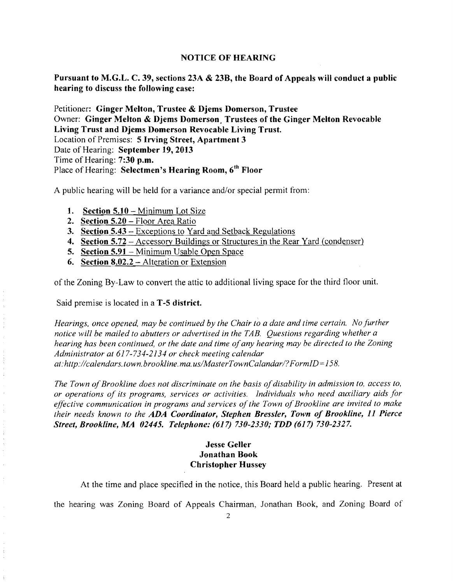### NOTICE OF HEARING

Pursuant to M.G.L. C. 39, sections 23A & 23B, the Board of Appeals will conduct a public hearing to discuss the following case:

Petitioner: Ginger Melton, Trustee & Djems Domerson, Trustee Owner: Ginger Melton & Djems Domerson, Trustees of the Ginger Melton Revocable Living Trust and Djems Domerson Revocable Living Trust. Location of Premises: 5 Irving Street, Apartment 3 Date of Hearing: September 19,2013 Time of Hearing: 7:30 p.m. Place of Hearing: Selectmen's Hearing Room, 6<sup>th</sup> Floor

A public hearing will be held for a variance and/or special permit from:

- 1. Section  $5.10 -$  Minimum Lot Size
- 2. Section 5.20 Floor Area Ratio
- 3. Section 5.43 Exceptions to Yard and Setback Regulations
- 4. Section 5.72 Accessory Buildings or Structures in the Rear Yard (condenser)
- 5. Section 5.91 Minimum Usable Open Space
- 6. Section 8.02.2 Alteration or Extension

of the Zoning By-Law to convert the attic to additional living space for the third floor unit.

Said premise is located in a T-5 district.

 $\frac{1}{2}$  $\frac{1}{4}$ 

 $\frac{1}{2}$ 

 $\frac{1}{2}$ 

*Hearings, once opened, may be continued by the Chair to a date and time certain. No further notice will be mailed to abutters or advertised in the TAB. Questions regarding whether a hearing has been continued, or the date and time ofany hearing may be directed to the Zoning Administrator at* 617-734-2134 *or check meeting calendar at: http://calendars.town.brookline.ma.usIMasterTownCalandarl? F ormID= 158.* 

*The Town of Brookline does not discriminate on the basis of disability in admission to, access to, or operations of its programs, services or activities. 1ndividuals who need auxiliary aids for effective communication in programs and services of the Town of Brookline are invited to make their needs known to the ADA Coordinator, Stephen Bressler, Town of Brookline,* 11 *Pierce Street, Brookline, MA 02445. Telephone:* (617) *730-2330; TDD* (617) *730-2327.* 

# Jesse Geller Jonathan Book Christopher Hussey

At the time and place specified in the notice, this Board held a public hearing. Present at

the hearing was Zoning Board of Appeals Chairman, Jonathan Book, and Zoning Board of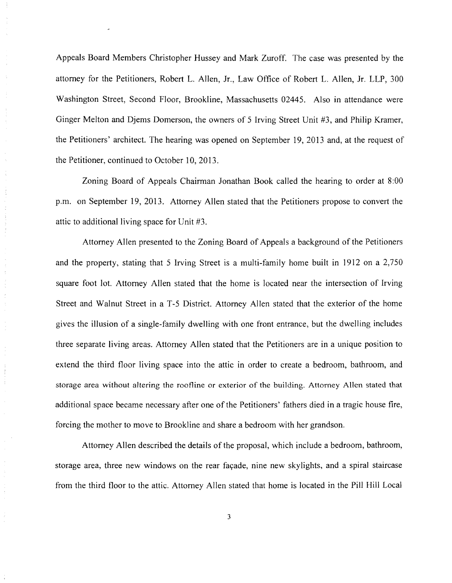Appeals Board Members Christopher Hussey and Mark Zuroff. The case was presented by the attorney for the Petitioners, Robert L. Allen, Jr., Law Office of Robert L. Allen, Jr. LLP, 300 Washington Street, Second Floor, Brookline, Massachusetts 02445. Also in attendance were Ginger Melton and Djems Domerson, the owners of 5 Irving Street Unit #3, and Philip Kramer, the Petitioners' architect. The hearing was opened on September 19, 2013 and, at the request of the Petitioner, continued to October 10,2013.

Zoning Board of Appeals Chairman Jonathan Book called the hearing to order at 8:00 p.m. on September 19, 2013. Attorney Allen stated that the Petitioners propose to convert the attic to additional living space for Unit #3.

 $\frac{1}{\alpha}$ 

÷

Attorney Allen presented to the Zoning Board of Appeals a background of the Petitioners and the property, stating that 5 Irving Street is a multi-family home built in ]912 on a 2,750 square foot lot. Attorney Allen stated that the home is located near the intersection of Irving Street and Walnut Street in a *T-5* District. Attorney Allen stated that the exterior of the home gives the illusion of a single-family dwelling with one front entrance, but the dwelling includes three separate living areas. Attorney Allen stated that the Petitioners are in a unique position to extend the third floor living space into the attic in order to create a bedroom, bathroom, and storage area without altering the roofline or exterior of the building. Attorney Allen stated that additional space became necessary after one of the Petitioners' fathers died in a tragic house fire, forcing the mother to move to Brookline and share a bedroom with her grandson.

Attorney Allen described the details of the proposal, which include a bedroom, bathroom, storage area, three new windows on the rear façade, nine new skylights, and a spiral staircase from the third floor to the attic. Attorney Allen stated that home is located in the Pill Hill Local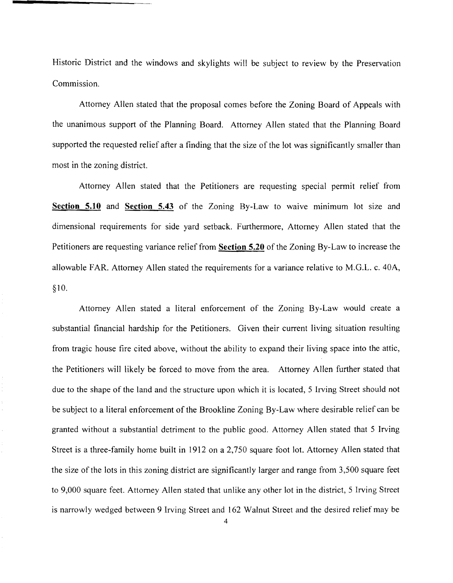Historic District and the windows and skylights will be subject to review by the Preservation Commission.

Attorney Allen stated that the proposal comes before the Zoning Board of Appeals with the unanimous support of the Planning Board. Attorney Allen stated that the Planning Board supported the requested relief after a finding that the size of the lot was significantly smaller than most in the zoning district.

Attorney Allen stated that the Petitioners are requesting special permit relief from **Section 5.10** and **Section 5.43** of the Zoning By-Law to waive minimum lot size and dimensional requirements for side yard setback. Furthermore, Attorney Allen stated that the Petitioners are requesting variance relief from **Section 5.20** of the Zoning By-Law to increase the allowable FAR. Attorney Allen stated the requirements for a variance relative to M.G.L. c. 40A, §10.

Attorney Allen stated a literal enforcement of the Zoning By-Law would create a substantial financial hardship for the Petitioners. Given their current living situation resulting from tragic house tire cited above, without the ability to expand their living space into the attic, the Petitioners will likely be forced to move from the area. Attorney Allen further stated that due to the shape of the land and the structure upon which it is located, 5 Irving Street should not be subject to a literal enforcement of the Brookline Zoning By-Law where desirable relief can be granted without a substantial detriment to the public good. Attorney Allen stated that 5 Irving Street is a three-family home built in 1912 on a 2,750 square foot lot. Attorney Allen stated that the size of the lots in this zoning district are significantly larger and range from 3,500 square feet to 9,000 square feet. Attorney Allen stated that unlike any other lot in the district, 5 Irving Street is narrowly wedged between 9 Irving Street and 162 Walnut Street and the desired relief may be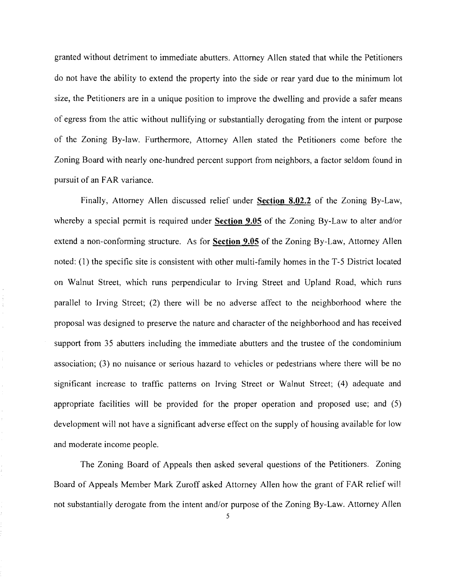granted without detriment to immediate abutters. Attorney Allen stated that while the Petitioners do not have the ability to extend the property into the side or rear yard due to the minimum lot size, the Petitioners are in a unique position to improve the dwelling and provide a safer means of egress from the attic without nullifying or substantially derogating from the intent or purpose of the Zoning By-law. Furthermore, Attorney Allen stated the Petitioners come before the Zoning Board with nearly one-hundred percent support from neighbors, a factor seldom found in pursuit of an FAR variance.

Finally, Attorney Allen discussed relief under **Section 8.02.2** of the Zoning By-Law, whereby a special permit is required under **Section 9.05** of the Zoning By-Law to alter and/or extend a non-conforming structure. As for **Section 9.05** of the Zoning By-Law, Attorney Allen noted: (1) the specific site is consistent with other multi-family homes in the *T-5* District located on Walnut Street, which runs perpendicular to Irving Street and Upland Road, which runs parallel to Irving Street; (2) there will be no adverse affect to the neighborhood where the proposal was designed to preserve the nature and character of the neighborhood and has received support from 35 abutters including the immediate abutters and the trustee of the condominium association; (3) no nuisance or serious hazard to vehicles or pedestrians where there will be no significant increase to traffic patterns on Irving Street or Walnut Street; (4) adequate and appropriate facilities will be provided for the proper operation and proposed use; and (5) development will not have a significant adverse effect on the supply of housing available for low and moderate income people.

The Zoning Board of Appeals then asked several questions of the Petitioners. Zoning Board of Appeals Member Mark Zuroff asked Attorney Allen how the grant of FAR relief will not substantially derogate from the intent and/or purpose of the Zoning By-Law. Attorney Allen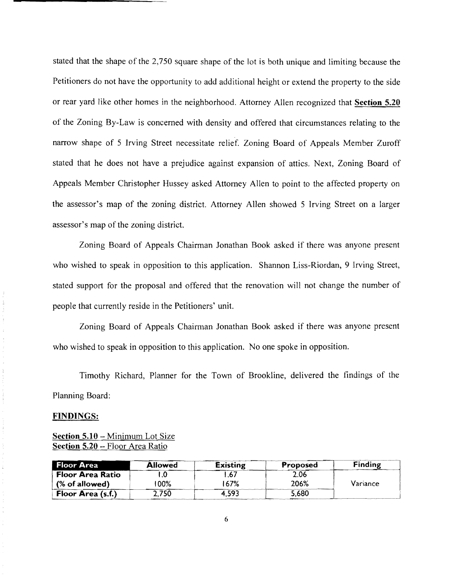stated that the shape of the 2,750 square shape of the lot is both unique and limiting because the Petitioners do not have the opportunity to add additional height or extend the property to the side or rear yard like other homes in the neighborhood. Attorney Allen recognized that **Section 5.20**  of the Zoning By-Law is concerned with density and offered that circumstances relating to the narrow shape of 5 Irving Street necessitate relief. Zoning Board of Appeals Member Zuroff stated that he does not have a prejudice against expansion of attics. Next, Zoning Board of Appeals Member Christopher Hussey asked Attorney Allen to point to the affected property on the assessor's map of the zoning district. Attorney Allen showed 5 Irving Street on a larger assessor's map of the zoning district.

Zoning Board of Appeals Chairman Jonathan Book asked if there was anyone present who wished to speak in opposition to this application. Shannon Liss-Riordan, 9 Irving Street, stated support for the proposal and offered that the renovation will not change the number of people that currently reside in the Petitioners' unit.

Zoning Board of Appeals Chairman Jonathan Book asked if there was anyone present who wished to speak in opposition to this application. No one spoke in opposition.

Timothy Richard, Planner for the Town of Brookline, delivered the findings of the Planning Board:

#### **FINDINGS:**

Ŷ,

 $\frac{1}{\lambda}$ 

## **Section 5.10** - Minimum Lot Size **Section 5.20** - Floor Area Ratio

| <b>Floor Area</b>         | <b>Allowed</b> | <b>Existing</b> | <b>Proposed</b> | <b>Finding</b> |
|---------------------------|----------------|-----------------|-----------------|----------------|
| <b>Floor Area Ratio</b>   |                |                 | 2.06            |                |
| $\sqrt{ }$ (% of allowed) | '00%           | 167%            | 206%            | Variance       |
| Floor Area (s.f.)         | 2,750          | 4.593           | 5.680           |                |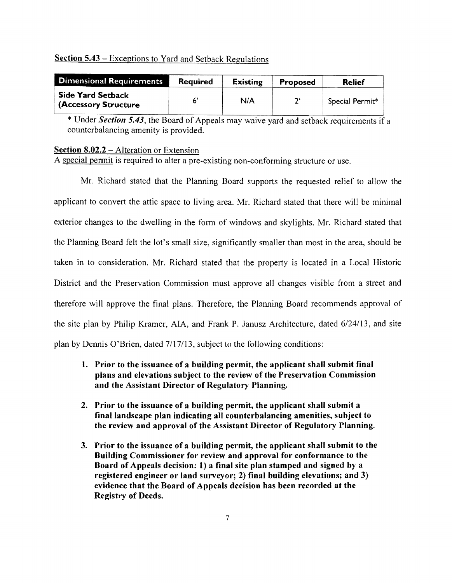## Section 5.43 – Exceptions to Yard and Setback Regulations

| <b>Dimensional Requirements</b>                  | <b>Required</b> | <b>Existing</b> | <b>Proposed</b> | Relief          |
|--------------------------------------------------|-----------------|-----------------|-----------------|-----------------|
| <b>Side Yard Setback</b><br>(Accessory Structure |                 | N/A             |                 | Special Permit* |

\* Under *Section 5.43*, the Board of Appeals may waive yard and setback requirements if a counterbalancing amenity is provided.

### Section 8.02.2 – Alteration or Extension

A special permit is required to alter a pre-existing non-conforming structure or use.

Mr. Richard stated that the Planning Board supports the requested relief to allow the applicant to convert the attic space to living area. Mr. Richard stated that there will be minimal exterior changes to the dwelling in the form of windows and skylights. Mr. Richard stated that the Planning Board felt the lot's small size, significantly smaller than most in the area, should be taken in to consideration. Mr. Richard stated that the property is located in a Local Historic District and the Preservation Commission must approve all changes visible from a street and therefore will approve the final plans. Therefore, the Planning Board recommends approval of the site plan by Philip Kramer, AlA, and Frank P. Janusz Architecture, dated *6/24113,* and site plan by Dennis O'Brien, dated 7117/13, subject to the following conditions:

- 1. Prior to the issuance of a building permit, the applicant shall submit final plans and elevations subject to the review of the Preservation Commission and the Assistant Director of Regulatory Planning.
- 2. Prior to the issuance of a building permit, the applicant shall submit a final landscape plan indicating all counterbalancing amenities, subject to the review and approval of the Assistant Director of Regulatory Planning.
- 3. Prior to the issuance of a building permit, the applicant shall submit to the Building Commissioner for review and approval for conformance to the Board of Appeals decision: 1) a final site plan stamped and signed by a registered engineer or land surveyor; 2) final building elevations; and 3) evidence that the Board of Appeals decision has been recorded at the Registry of Deeds.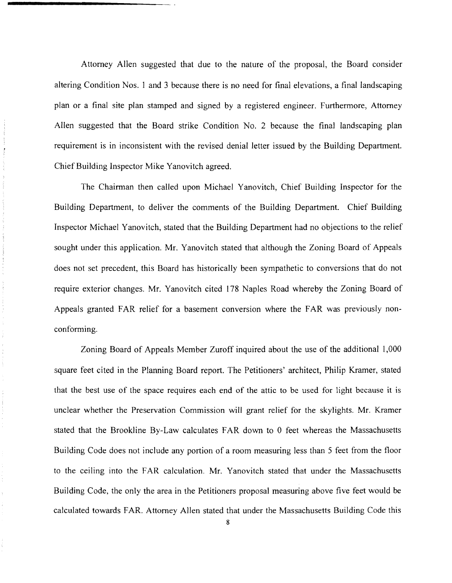Attorney Allen suggested that due to the nature of the proposal, the Board consider altering Condition Nos. 1 and 3 because there is no need for final elevations, a final landscaping plan or a final site plan stamped and signed by a registered engineer. Furthermore, Attorney Allen suggested that the Board strike Condition No. 2 because the final landscaping plan requirement is in inconsistent with the revised denial letter issued by the Building Department. Chief Building Inspector Mike Yanovitch agreed.

The Chairman then called upon Michael Yanovitch, Chief Building Inspector for the Building Department, to deliver the comments of the Building Department. Chief Building Inspector Michael Yanovitch, stated that the Building Department had no objections to the relief sought under this application. Mr. Yanovitch stated that although the Zoning Board of Appeals does not set precedent, this Board has historically been sympathetic to conversions that do not require exterior changes. Mr. Yanovitch cited 178 Naples Road whereby the Zoning Board of Appeals granted FAR relief for a basement conversion where the FAR was previously nonconforming.

Zoning Board of Appeals Member Zuroff inquired about the use of the additional 1,000 square feet cited in the Planning Board report. The Petitioners' architect, Philip Kramer, stated that the best use of the space requires each end of the attic to be used for light because it is unclear whether the Preservation Commission will grant relief for the skylights. Mr. Kramer stated that the Brookline By-Law calculates FAR down to 0 feet whereas the Massachusetts Building Code does not include any portion of a room measuring less than 5 feet from the floor to the ceiling into the FAR calculation. Mr. Yanovitch stated that under the Massachusetts Building Code, the only the area in the Petitioners proposal measuring above five feet would be calculated towards FAR. Attorney Allen stated that under the Massachusetts Building Code this

 $\hat{\boldsymbol{z}}$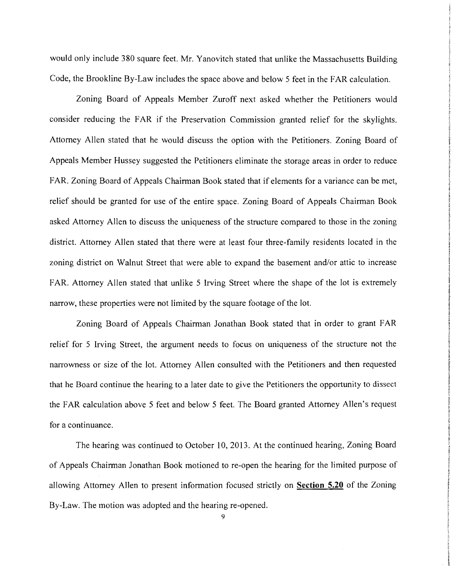would only include 380 square feet. Mr. Yanovitch stated that unlike the Massachusetts Building Code, the Brookline By-Law includes the space above and below 5 feet in the FAR calculation.

Zoning Board of Appeals Member Zuroff next asked whether the Petitioners would consider reducing the FAR if the Preservation Commission granted relief for the skylights. Attorney Allen stated that he would discuss the option with the Petitioners. Zoning Board of Appeals Member Hussey suggested the Petitioners eliminate the storage areas in order to reduce FAR. Zoning Board of Appeals Chairman Book stated that if elements for a variance can be met, relief should be granted for use of the entire space. Zoning Board of Appeals Chairman Book asked Attorney Allen to discuss the uniqueness of the structure compared to those in the zoning district. Attorney Allen stated that there were at least four three-family residents located in the zoning district on Walnut Street that were able to expand the basement *andlor* attic to increase FAR. Attorney Allen stated that unlike 5 Irving Street where the shape of the lot is extremely narrow, these properties were not limited by the square footage of the lot.

Zoning Board of Appeals Chairman Jonathan Book stated that in order to grant FAR relief for 5 Irving Street, the argument needs to focus on uniqueness of the structure not the narrowness or size of the lot. Attorney Allen consulted with the Petitioners and then requested that he Board continue the hearing to a later date to give the Petitioners the opportunity to dissect the FAR calculation above 5 feet and below 5 feet. The Board granted Attorney Allen's request for a continuance.

The hearing was continued to October 10, 2013. At the continued hearing, Zoning Board of Appeals Chairman Jonathan Book motioned to re-open the hearing for the limited purpose of allowing Attorney Allen to present information focused strictly on **Section 5.20** of the Zoning By-Law. The motion was adopted and the hearing re-opened.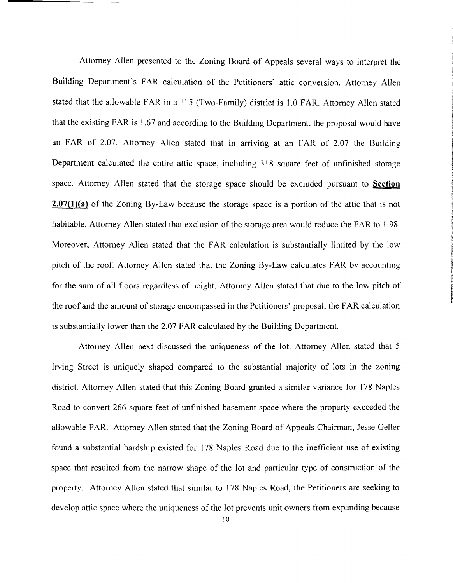Attorney Allen presented to the Zoning Board of Appeals several ways to interpret the Building Department's FAR calculation of the Petitioners' attic conversion. Attorney Allen stated that the allowable FAR in a T·5 (Two·Family) district is 1.0 FAR. Attorney Allen stated that the existing FAR is 1.67 and according to the Building Department, the proposal would have an FAR of 2.07. Attorney Allen stated that in arriving at an FAR of 2.07 the Building Department calculated the entire attic space, including 318 square feet of unfinished storage space. Attorney Allen stated that the storage space should be excluded pursuant to **Section 2.07(1)(a)** of the Zoning By·Law because the storage space is a portion of the attic that is not habitable. Attorney Allen stated that exclusion of the storage area would reduce the FAR to 1.98. Moreover, Attorney Allen stated that the FAR calculation is substantially limited by the low pitch of the roof. Attorney Allen stated that the Zoning By-Law calculates FAR by accounting for the sum of all floors regardless of height. Attorney Allen stated that due to the low pitch of the roof and the amount of storage encompassed in the Petitioners' proposal, the FAR calculation is substantially lower than the 2.07 FAR calculated by the Building Department.

Attorney Allen next discussed the uniqueness of the lot. Attorney Allen stated that 5 Irving Street is uniquely shaped compared to the substantial majority of lots in the zoning district. Attorney Allen stated that this Zoning Board granted a similar variance for 178 Naples Road to convert 266 square feet of unfinished basement space where the property exceeded the allowable FAR. Attorney Allen stated that the Zoning Board of Appeals Chairman, Jesse Geller found a substantial hardship existed for 178 Naples Road due to the inefficient use of existing space that resulted from the narrow shape of the lot and particular type of construction of the property. Attorney Allen stated that similar to 178 Naples Road, the Petitioners are seeking to develop attic space where the uniqueness of the lot prevents unit owners from expanding because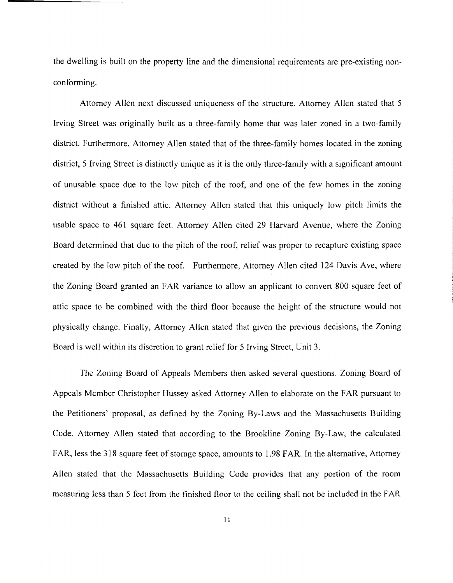the dwelling is built on the property line and the dimensional requirements are pre-existing nonconforming.

Attorney Allen next discussed uniqueness of the structure. Attorney Allen stated that 5 Irving Street was originally built as a three-family home that was later zoned in a two-family district. Furthermore, Attorney Allen stated that of the three-family homes located in the zoning district, 5 Irving Street is distinctly unique as it is the only three-family with a significant amount of unusable space due to the low pitch of the roof, and one of the few homes in the zoning district without a finished attic. Attorney Allen stated that this uniquely low pitch limits the usable space to 461 square feet. Attorney Allen cited 29 Harvard Avenue, where the Zoning Board determined that due to the pitch of the roof, relief was proper to recapture existing space created by the low pitch of the roof. Furthermore, Attorney Allen cited 124 Davis Ave, where the Zoning Board granted an FAR variance to allow an applicant to convert 800 square feet of attic space to be combined with the third floor because the height of the structure would not physically change. Finally, Attorney Allen stated that given the previous decisions, the Zoning Board is well within its discretion to grant relief for 5 Irving Street, Unit 3.

The Zoning Board of Appeals Members then asked several questions. Zoning Board of Appeals Member Christopher Hussey asked Attorney Allen to elaborate on the FAR pursuant to the Petitioners' proposal, as defined by the Zoning By-Laws and the Massachusetts Building Code. Attorney Allen stated that according to the Brookline Zoning By-Law, the calculated FAR, less the 318 square feet of storage space, amounts to 1.98 FAR. In the alternative, Attorney Allen stated that the Massachusetts Building Code provides that any portion of the room measuring less than 5 feet from the finished floor to the ceiling shall not be included in the FAR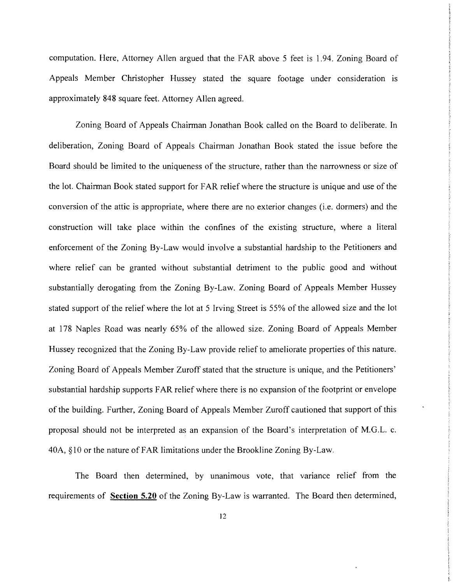computation. Here, Attorney Allen argued that the FAR above 5 feet is 1.94. Zoning Board of Appeals Member Christopher Hussey stated the square footage under consideration is approximately 848 square feet. Attorney Allen agreed.

Zoning Board of Appeals Chairman Jonathan Book called on the Board to deliberate. In deliberation, Zoning Board of Appeals Chairman Jonathan Book stated the issue before the Board should be limited to the uniqueness of the structure, rather than the narrowness or size of the lot. Chairman Book stated support for FAR relief where the structure is unique and use of the conversion of the attic is appropriate, where there are no exterior changes (i.e. dormers) and the construction will take place within the confines of the existing structure, where a literal enforcement of the Zoning By-Law would involve a substantial hardship to the Petitioners and where relief can be granted without substantial detriment to the public good and without substantially derogating from the Zoning By-Law. Zoning Board of Appeals Member Hussey stated support of the relief where the lot at 5 Irving Street is 55% of the allowed size and the lot at 178 Naples Road was nearly 65% of the allowed size. Zoning Board of Appeals Member Hussey recognized that the Zoning By-Law provide relief to ameliorate properties of this nature. Zoning Board of Appeals Member Zuroff stated that the structure is unique, and the Petitioners' substantial hardship supports FAR relief where there is no expansion of the footprint or envelope of the building. Further, Zoning Board of Appeals Member Zuroff cautioned that support of this proposal should not be interpreted as an expansion of the Board's interpretation of M.G.L. c. 40A, §10 or the nature of FAR limitations under the Brookline Zoning By-Law.

The Board then determined, by unanimous vote, that variance relief from the requirements of Section 5.20 of the Zoning By-Law is warranted. The Board then determined,